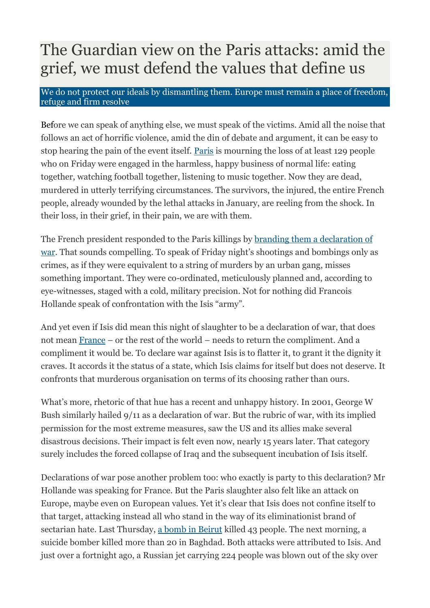## The Guardian view on the Paris attacks: amid the grief, we must defend the values that define us

## We do not protect our ideals by dismantling them. Europe must remain a place of freedom, refuge and firm resolve

Before we can speak of anything else, we must speak of the victims. Amid all the noise that follows an act of horrific violence, amid the din of debate and argument, it can be easy to stop hearing the pain of the event itself. [Paris](http://www.theguardian.com/world/paris) is mourning the loss of at least 129 people who on Friday were engaged in the harmless, happy business of normal life: eating together, watching football together, listening to music together. Now they are dead, murdered in utterly terrifying circumstances. The survivors, the injured, the entire French people, already wounded by the lethal attacks in January, are reeling from the shock. In their loss, in their grief, in their pain, we are with them.

The French president responded to the Paris killings by [branding them a declaration of](http://www.theguardian.com/world/2015/nov/13/paris-attacks-shootings-explosions-hostages)  [war](http://www.theguardian.com/world/2015/nov/13/paris-attacks-shootings-explosions-hostages). That sounds compelling. To speak of Friday night's shootings and bombings only as crimes, as if they were equivalent to a string of murders by an urban gang, misses something important. They were co-ordinated, meticulously planned and, according to eye-witnesses, staged with a cold, military precision. Not for nothing did Francois Hollande speak of confrontation with the Isis "army".

And yet even if Isis did mean this night of slaughter to be a declaration of war, that does not mean [France](http://www.theguardian.com/world/france) – or the rest of the world – needs to return the compliment. And a compliment it would be. To declare war against Isis is to flatter it, to grant it the dignity it craves. It accords it the status of a state, which Isis claims for itself but does not deserve. It confronts that murderous organisation on terms of its choosing rather than ours.

What's more, rhetoric of that hue has a recent and unhappy history. In 2001, George W Bush similarly hailed 9/11 as a declaration of war. But the rubric of war, with its implied permission for the most extreme measures, saw the US and its allies make several disastrous decisions. Their impact is felt even now, nearly 15 years later. That category surely includes the forced collapse of Iraq and the subsequent incubation of Isis itself.

Declarations of war pose another problem too: who exactly is party to this declaration? Mr Hollande was speaking for France. But the Paris slaughter also felt like an attack on Europe, maybe even on European values. Yet it's clear that Isis does not confine itself to that target, attacking instead all who stand in the way of its eliminationist brand of sectarian hate. Last Thursday, [a bomb in Beirut](http://www.theguardian.com/world/2015/nov/12/beirut-bombings-kill-at-least-20-lebanon) killed 43 people. The next morning, a suicide bomber killed more than 20 in Baghdad. Both attacks were attributed to Isis. And just over a fortnight ago, a Russian jet carrying 224 people was blown out of the sky over